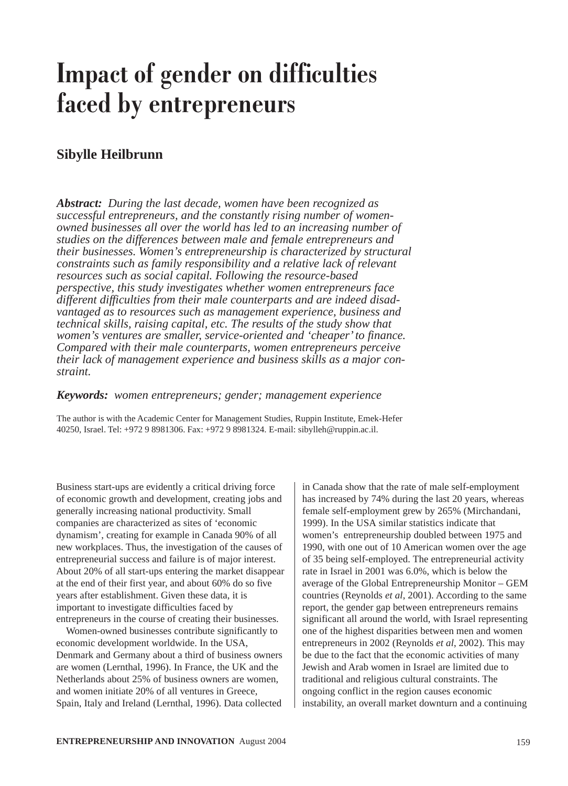# **Impact of gender on difficulties faced by entrepreneurs**

## **Sibylle Heilbrunn**

*Abstract: During the last decade, women have been recognized as successful entrepreneurs, and the constantly rising number of womenowned businesses all over the world has led to an increasing number of studies on the differences between male and female entrepreneurs and their businesses. Women's entrepreneurship is characterized by structural constraints such as family responsibility and a relative lack of relevant resources such as social capital. Following the resource-based perspective, this study investigates whether women entrepreneurs face different difficulties from their male counterparts and are indeed disadvantaged as to resources such as management experience, business and technical skills, raising capital, etc. The results of the study show that women's ventures are smaller, service-oriented and 'cheaper' to finance. Compared with their male counterparts, women entrepreneurs perceive their lack of management experience and business skills as a major constraint.*

*Keywords: women entrepreneurs; gender; management experience*

The author is with the Academic Center for Management Studies, Ruppin Institute, Emek-Hefer 40250, Israel. Tel: +972 9 8981306. Fax: +972 9 8981324. E-mail: sibylleh@ruppin.ac.il.

Business start-ups are evidently a critical driving force of economic growth and development, creating jobs and generally increasing national productivity. Small companies are characterized as sites of 'economic dynamism', creating for example in Canada 90% of all new workplaces. Thus, the investigation of the causes of entrepreneurial success and failure is of major interest. About 20% of all start-ups entering the market disappear at the end of their first year, and about 60% do so five years after establishment. Given these data, it is important to investigate difficulties faced by entrepreneurs in the course of creating their businesses.

Women-owned businesses contribute significantly to economic development worldwide. In the USA, Denmark and Germany about a third of business owners are women (Lernthal, 1996). In France, the UK and the Netherlands about 25% of business owners are women, and women initiate 20% of all ventures in Greece, Spain, Italy and Ireland (Lernthal, 1996). Data collected

in Canada show that the rate of male self-employment has increased by 74% during the last 20 years, whereas female self-employment grew by 265% (Mirchandani, 1999). In the USA similar statistics indicate that women's entrepreneurship doubled between 1975 and 1990, with one out of 10 American women over the age of 35 being self-employed. The entrepreneurial activity rate in Israel in 2001 was 6.0%, which is below the average of the Global Entrepreneurship Monitor – GEM countries (Reynolds *et al*, 2001). According to the same report, the gender gap between entrepreneurs remains significant all around the world, with Israel representing one of the highest disparities between men and women entrepreneurs in 2002 (Reynolds *et al*, 2002). This may be due to the fact that the economic activities of many Jewish and Arab women in Israel are limited due to traditional and religious cultural constraints. The ongoing conflict in the region causes economic instability, an overall market downturn and a continuing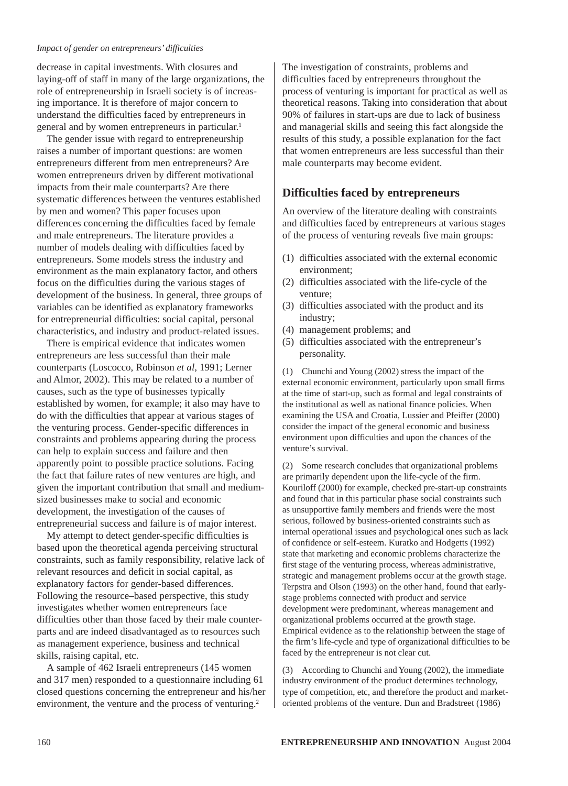#### *Impact of gender on entrepreneurs' difficulties*

decrease in capital investments. With closures and laying-off of staff in many of the large organizations, the role of entrepreneurship in Israeli society is of increasing importance. It is therefore of major concern to understand the difficulties faced by entrepreneurs in general and by women entrepreneurs in particular.<sup>1</sup>

The gender issue with regard to entrepreneurship raises a number of important questions: are women entrepreneurs different from men entrepreneurs? Are women entrepreneurs driven by different motivational impacts from their male counterparts? Are there systematic differences between the ventures established by men and women? This paper focuses upon differences concerning the difficulties faced by female and male entrepreneurs. The literature provides a number of models dealing with difficulties faced by entrepreneurs. Some models stress the industry and environment as the main explanatory factor, and others focus on the difficulties during the various stages of development of the business. In general, three groups of variables can be identified as explanatory frameworks for entrepreneurial difficulties: social capital, personal characteristics, and industry and product-related issues.

There is empirical evidence that indicates women entrepreneurs are less successful than their male counterparts (Loscocco, Robinson *et al*, 1991; Lerner and Almor, 2002). This may be related to a number of causes, such as the type of businesses typically established by women, for example; it also may have to do with the difficulties that appear at various stages of the venturing process. Gender-specific differences in constraints and problems appearing during the process can help to explain success and failure and then apparently point to possible practice solutions. Facing the fact that failure rates of new ventures are high, and given the important contribution that small and mediumsized businesses make to social and economic development, the investigation of the causes of entrepreneurial success and failure is of major interest.

My attempt to detect gender-specific difficulties is based upon the theoretical agenda perceiving structural constraints, such as family responsibility, relative lack of relevant resources and deficit in social capital, as explanatory factors for gender-based differences. Following the resource–based perspective, this study investigates whether women entrepreneurs face difficulties other than those faced by their male counterparts and are indeed disadvantaged as to resources such as management experience, business and technical skills, raising capital, etc.

A sample of 462 Israeli entrepreneurs (145 women and 317 men) responded to a questionnaire including 61 closed questions concerning the entrepreneur and his/her environment, the venture and the process of venturing.<sup>2</sup>

The investigation of constraints, problems and difficulties faced by entrepreneurs throughout the process of venturing is important for practical as well as theoretical reasons. Taking into consideration that about 90% of failures in start-ups are due to lack of business and managerial skills and seeing this fact alongside the results of this study, a possible explanation for the fact that women entrepreneurs are less successful than their male counterparts may become evident.

#### **Difficulties faced by entrepreneurs**

An overview of the literature dealing with constraints and difficulties faced by entrepreneurs at various stages of the process of venturing reveals five main groups:

- (1) difficulties associated with the external economic environment;
- (2) difficulties associated with the life-cycle of the venture;
- (3) difficulties associated with the product and its industry;
- (4) management problems; and
- (5) difficulties associated with the entrepreneur's personality.

(1) Chunchi and Young (2002) stress the impact of the external economic environment, particularly upon small firms at the time of start-up, such as formal and legal constraints of the institutional as well as national finance policies. When examining the USA and Croatia, Lussier and Pfeiffer (2000) consider the impact of the general economic and business environment upon difficulties and upon the chances of the venture's survival.

(2) Some research concludes that organizational problems are primarily dependent upon the life-cycle of the firm. Kouriloff (2000) for example, checked pre-start-up constraints and found that in this particular phase social constraints such as unsupportive family members and friends were the most serious, followed by business-oriented constraints such as internal operational issues and psychological ones such as lack of confidence or self-esteem. Kuratko and Hodgetts (1992) state that marketing and economic problems characterize the first stage of the venturing process, whereas administrative, strategic and management problems occur at the growth stage. Terpstra and Olson (1993) on the other hand, found that earlystage problems connected with product and service development were predominant, whereas management and organizational problems occurred at the growth stage. Empirical evidence as to the relationship between the stage of the firm's life-cycle and type of organizational difficulties to be faced by the entrepreneur is not clear cut.

(3) According to Chunchi and Young (2002), the immediate industry environment of the product determines technology, type of competition, etc, and therefore the product and marketoriented problems of the venture. Dun and Bradstreet (1986)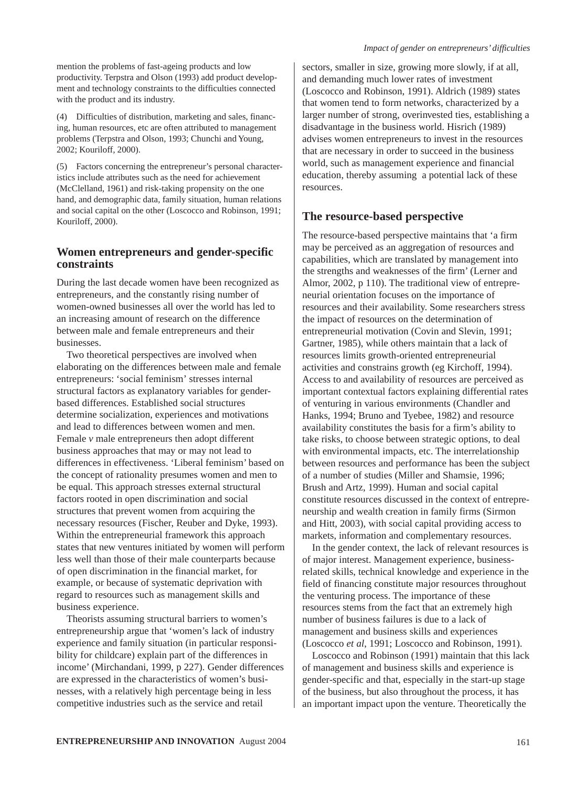mention the problems of fast-ageing products and low productivity. Terpstra and Olson (1993) add product development and technology constraints to the difficulties connected with the product and its industry.

(4) Difficulties of distribution, marketing and sales, financing, human resources, etc are often attributed to management problems (Terpstra and Olson, 1993; Chunchi and Young, 2002; Kouriloff, 2000).

(5) Factors concerning the entrepreneur's personal characteristics include attributes such as the need for achievement (McClelland, 1961) and risk-taking propensity on the one hand, and demographic data, family situation, human relations and social capital on the other (Loscocco and Robinson, 1991; Kouriloff, 2000).

## **Women entrepreneurs and gender-specific constraints**

During the last decade women have been recognized as entrepreneurs, and the constantly rising number of women-owned businesses all over the world has led to an increasing amount of research on the difference between male and female entrepreneurs and their businesses.

Two theoretical perspectives are involved when elaborating on the differences between male and female entrepreneurs: 'social feminism' stresses internal structural factors as explanatory variables for genderbased differences. Established social structures determine socialization, experiences and motivations and lead to differences between women and men. Female *v* male entrepreneurs then adopt different business approaches that may or may not lead to differences in effectiveness. 'Liberal feminism' based on the concept of rationality presumes women and men to be equal. This approach stresses external structural factors rooted in open discrimination and social structures that prevent women from acquiring the necessary resources (Fischer, Reuber and Dyke, 1993). Within the entrepreneurial framework this approach states that new ventures initiated by women will perform less well than those of their male counterparts because of open discrimination in the financial market, for example, or because of systematic deprivation with regard to resources such as management skills and business experience.

Theorists assuming structural barriers to women's entrepreneurship argue that 'women's lack of industry experience and family situation (in particular responsibility for childcare) explain part of the differences in income' (Mirchandani, 1999, p 227). Gender differences are expressed in the characteristics of women's businesses, with a relatively high percentage being in less competitive industries such as the service and retail

#### *Impact of gender on entrepreneurs' difficulties*

sectors, smaller in size, growing more slowly, if at all, and demanding much lower rates of investment (Loscocco and Robinson, 1991). Aldrich (1989) states that women tend to form networks, characterized by a larger number of strong, overinvested ties, establishing a disadvantage in the business world. Hisrich (1989) advises women entrepreneurs to invest in the resources that are necessary in order to succeed in the business world, such as management experience and financial education, thereby assuming a potential lack of these resources.

## **The resource-based perspective**

The resource-based perspective maintains that 'a firm may be perceived as an aggregation of resources and capabilities, which are translated by management into the strengths and weaknesses of the firm' (Lerner and Almor, 2002, p 110). The traditional view of entrepreneurial orientation focuses on the importance of resources and their availability. Some researchers stress the impact of resources on the determination of entrepreneurial motivation (Covin and Slevin, 1991; Gartner, 1985), while others maintain that a lack of resources limits growth-oriented entrepreneurial activities and constrains growth (eg Kirchoff, 1994). Access to and availability of resources are perceived as important contextual factors explaining differential rates of venturing in various environments (Chandler and Hanks, 1994; Bruno and Tyebee, 1982) and resource availability constitutes the basis for a firm's ability to take risks, to choose between strategic options, to deal with environmental impacts, etc. The interrelationship between resources and performance has been the subject of a number of studies (Miller and Shamsie, 1996; Brush and Artz, 1999). Human and social capital constitute resources discussed in the context of entrepreneurship and wealth creation in family firms (Sirmon and Hitt, 2003), with social capital providing access to markets, information and complementary resources.

In the gender context, the lack of relevant resources is of major interest. Management experience, businessrelated skills, technical knowledge and experience in the field of financing constitute major resources throughout the venturing process. The importance of these resources stems from the fact that an extremely high number of business failures is due to a lack of management and business skills and experiences (Loscocco *et al*, 1991; Loscocco and Robinson, 1991).

Loscocco and Robinson (1991) maintain that this lack of management and business skills and experience is gender-specific and that, especially in the start-up stage of the business, but also throughout the process, it has an important impact upon the venture. Theoretically the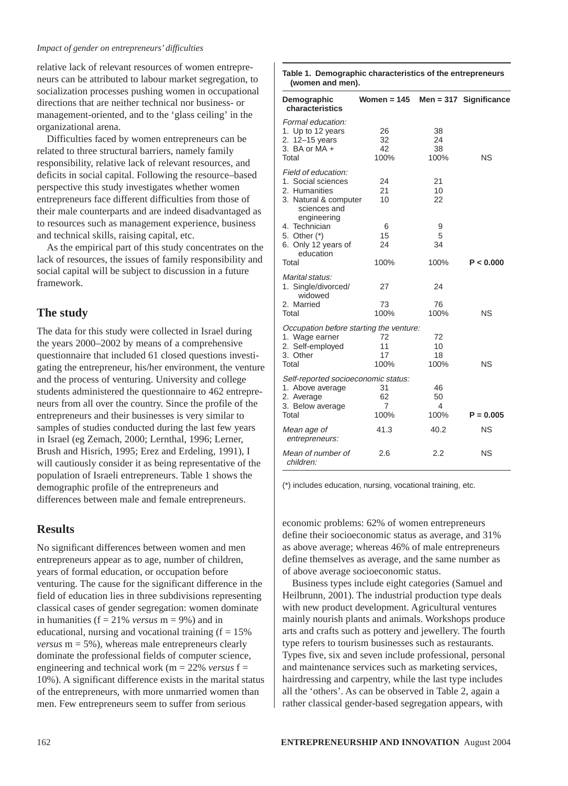#### *Impact of gender on entrepreneurs' difficulties*

relative lack of relevant resources of women entrepreneurs can be attributed to labour market segregation, to socialization processes pushing women in occupational directions that are neither technical nor business- or management-oriented, and to the 'glass ceiling' in the organizational arena.

Difficulties faced by women entrepreneurs can be related to three structural barriers, namely family responsibility, relative lack of relevant resources, and deficits in social capital. Following the resource–based perspective this study investigates whether women entrepreneurs face different difficulties from those of their male counterparts and are indeed disadvantaged as to resources such as management experience, business and technical skills, raising capital, etc.

As the empirical part of this study concentrates on the lack of resources, the issues of family responsibility and social capital will be subject to discussion in a future framework.

## **The study**

The data for this study were collected in Israel during the years 2000–2002 by means of a comprehensive questionnaire that included 61 closed questions investigating the entrepreneur, his/her environment, the venture and the process of venturing. University and college students administered the questionnaire to 462 entrepreneurs from all over the country. Since the profile of the entrepreneurs and their businesses is very similar to samples of studies conducted during the last few years in Israel (eg Zemach, 2000; Lernthal, 1996; Lerner, Brush and Hisrich, 1995; Erez and Erdeling, 1991), I will cautiously consider it as being representative of the population of Israeli entrepreneurs. Table 1 shows the demographic profile of the entrepreneurs and differences between male and female entrepreneurs.

#### **Results**

No significant differences between women and men entrepreneurs appear as to age, number of children, years of formal education, or occupation before venturing. The cause for the significant difference in the field of education lies in three subdivisions representing classical cases of gender segregation: women dominate in humanities (f = 21% *versus* m = 9%) and in educational, nursing and vocational training  $(f = 15\%)$ *versus*  $m = 5\%$ , whereas male entrepreneurs clearly dominate the professional fields of computer science, engineering and technical work (m = 22% *versus* f = 10%). A significant difference exists in the marital status of the entrepreneurs, with more unmarried women than men. Few entrepreneurs seem to suffer from serious

| (women and men).                                                                                                                    |                        |                        |                          |
|-------------------------------------------------------------------------------------------------------------------------------------|------------------------|------------------------|--------------------------|
| Demographic<br>characteristics                                                                                                      | Women = 145            |                        | $Men = 317$ Significance |
| Formal education:<br>1. Up to 12 years<br>2. 12-15 years<br>3. BA or $MA +$<br>Total                                                | 26<br>32<br>42<br>100% | 38<br>24<br>38<br>100% | ΝS                       |
| Field of education:<br>1. Social sciences<br>2. Humanities<br>3. Natural & computer<br>sciences and<br>engineering<br>4. Technician | 24<br>21<br>10<br>6    | 21<br>10<br>22<br>9    |                          |
| 5. Other (*)<br>6. Only 12 years of<br>education<br>Total                                                                           | 15<br>24<br>100%       | 5<br>34<br>100%        | P < 0.000                |
| Marital status:<br>1. Single/divorced/<br>widowed<br>2. Married<br>Total                                                            | 27<br>73<br>100%       | 24<br>76<br>100%       | ΝS                       |
| Occupation before starting the venture:<br>1. Wage earner<br>2. Self-employed<br>3. Other<br>Total                                  | 72<br>11<br>17<br>100% | 72<br>10<br>18<br>100% | <b>NS</b>                |
| Self-reported socioeconomic status:<br>1. Above average<br>2. Average<br>3. Below average<br>Total                                  | 31<br>62<br>7<br>100%  | 46<br>50<br>4<br>100%  | $P = 0.005$              |
| Mean age of<br>entrepreneurs:                                                                                                       | 41.3                   | 40.2                   | ΝS                       |
| Mean of number of<br>children:                                                                                                      | 2.6                    | 2.2                    | ΝS                       |

**Table 1. Demographic characteristics of the entrepreneurs**

(\*) includes education, nursing, vocational training, etc.

economic problems: 62% of women entrepreneurs define their socioeconomic status as average, and 31% as above average; whereas 46% of male entrepreneurs define themselves as average, and the same number as of above average socioeconomic status.

Business types include eight categories (Samuel and Heilbrunn, 2001). The industrial production type deals with new product development. Agricultural ventures mainly nourish plants and animals. Workshops produce arts and crafts such as pottery and jewellery. The fourth type refers to tourism businesses such as restaurants. Types five, six and seven include professional, personal and maintenance services such as marketing services, hairdressing and carpentry, while the last type includes all the 'others'. As can be observed in Table 2, again a rather classical gender-based segregation appears, with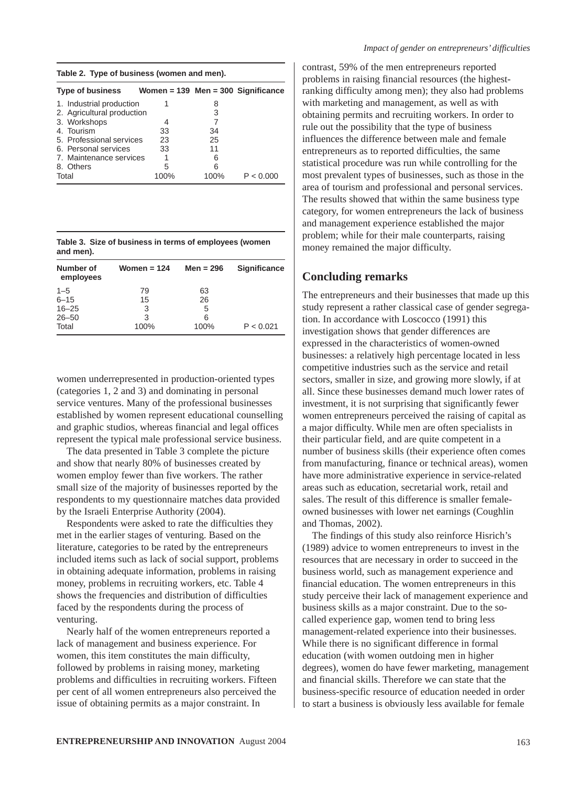| Table 2. Type of business (women and men). |                                        |      |           |  |
|--------------------------------------------|----------------------------------------|------|-----------|--|
| <b>Type of business</b>                    | Women = $139$ Men = $300$ Significance |      |           |  |
| 1. Industrial production                   | 1                                      | 8    |           |  |
| 2. Agricultural production                 |                                        | 3    |           |  |
| 3. Workshops                               | 4                                      |      |           |  |
| 4. Tourism                                 | 33                                     | 34   |           |  |
| 5. Professional services                   | 23                                     | 25   |           |  |
| 6. Personal services                       | 33                                     | 11   |           |  |
| 7. Maintenance services                    |                                        | ิค   |           |  |
| 8. Others                                  | 5                                      | 6    |           |  |
| Total                                      | 100%                                   | 100% | P < 0.000 |  |

**Table 3. Size of business in terms of employees (women and men).**

| Number of<br>employees | Women = $124$ | Men = $296$ | <b>Significance</b> |
|------------------------|---------------|-------------|---------------------|
| $1 - 5$                | 79            | 63          |                     |
| $6 - 15$               | 15            | 26          |                     |
| $16 - 25$              | 3             | 5           |                     |
| $26 - 50$              | 3             | 6           |                     |
| Total                  | 100%          | 100%        | P < 0.021           |

women underrepresented in production-oriented types (categories 1, 2 and 3) and dominating in personal service ventures. Many of the professional businesses established by women represent educational counselling and graphic studios, whereas financial and legal offices represent the typical male professional service business.

The data presented in Table 3 complete the picture and show that nearly 80% of businesses created by women employ fewer than five workers. The rather small size of the majority of businesses reported by the respondents to my questionnaire matches data provided by the Israeli Enterprise Authority (2004).

Respondents were asked to rate the difficulties they met in the earlier stages of venturing. Based on the literature, categories to be rated by the entrepreneurs included items such as lack of social support, problems in obtaining adequate information, problems in raising money, problems in recruiting workers, etc. Table 4 shows the frequencies and distribution of difficulties faced by the respondents during the process of venturing.

Nearly half of the women entrepreneurs reported a lack of management and business experience. For women, this item constitutes the main difficulty, followed by problems in raising money, marketing problems and difficulties in recruiting workers. Fifteen per cent of all women entrepreneurs also perceived the issue of obtaining permits as a major constraint. In

contrast, 59% of the men entrepreneurs reported problems in raising financial resources (the highestranking difficulty among men); they also had problems with marketing and management, as well as with obtaining permits and recruiting workers. In order to rule out the possibility that the type of business influences the difference between male and female entrepreneurs as to reported difficulties, the same statistical procedure was run while controlling for the most prevalent types of businesses, such as those in the area of tourism and professional and personal services. The results showed that within the same business type category, for women entrepreneurs the lack of business and management experience established the major problem; while for their male counterparts, raising money remained the major difficulty.

## **Concluding remarks**

The entrepreneurs and their businesses that made up this study represent a rather classical case of gender segregation. In accordance with Loscocco (1991) this investigation shows that gender differences are expressed in the characteristics of women-owned businesses: a relatively high percentage located in less competitive industries such as the service and retail sectors, smaller in size, and growing more slowly, if at all. Since these businesses demand much lower rates of investment, it is not surprising that significantly fewer women entrepreneurs perceived the raising of capital as a major difficulty. While men are often specialists in their particular field, and are quite competent in a number of business skills (their experience often comes from manufacturing, finance or technical areas), women have more administrative experience in service-related areas such as education, secretarial work, retail and sales. The result of this difference is smaller femaleowned businesses with lower net earnings (Coughlin and Thomas, 2002).

The findings of this study also reinforce Hisrich's (1989) advice to women entrepreneurs to invest in the resources that are necessary in order to succeed in the business world, such as management experience and financial education. The women entrepreneurs in this study perceive their lack of management experience and business skills as a major constraint. Due to the socalled experience gap, women tend to bring less management-related experience into their businesses. While there is no significant difference in formal education (with women outdoing men in higher degrees), women do have fewer marketing, management and financial skills. Therefore we can state that the business-specific resource of education needed in order to start a business is obviously less available for female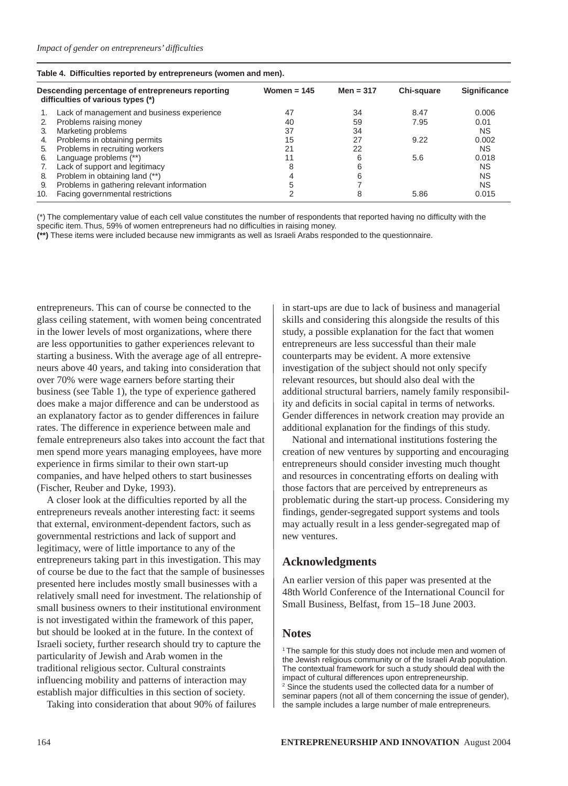| Table 4. Difficulties reported by entrepreneurs (women and men). |  |
|------------------------------------------------------------------|--|
|                                                                  |  |

|     | Descending percentage of entrepreneurs reporting<br>difficulties of various types (*) | Women = $145$ | Men = $317$ | Chi-square | <b>Significance</b> |
|-----|---------------------------------------------------------------------------------------|---------------|-------------|------------|---------------------|
|     | Lack of management and business experience                                            | 47            | 34          | 8.47       | 0.006               |
| 2.  | Problems raising money                                                                | 40            | 59          | 7.95       | 0.01                |
| 3.  | Marketing problems                                                                    | 37            | 34          |            | <b>NS</b>           |
| 4.  | Problems in obtaining permits                                                         | 15            | 27          | 9.22       | 0.002               |
| 5.  | Problems in recruiting workers                                                        | 21            | 22          |            | <b>NS</b>           |
| 6.  | Language problems (**)                                                                |               |             | 5.6        | 0.018               |
|     | Lack of support and legitimacy                                                        | 8             |             |            | ΝS                  |
| 8.  | Problem in obtaining land (**)                                                        |               |             |            | <b>NS</b>           |
| 9.  | Problems in gathering relevant information                                            |               |             |            | <b>NS</b>           |
| 10. | Facing governmental restrictions                                                      |               |             | 5.86       | 0.015               |

(\*) The complementary value of each cell value constitutes the number of respondents that reported having no difficulty with the specific item. Thus, 59% of women entrepreneurs had no difficulties in raising money.

**(\*\*)** These items were included because new immigrants as well as Israeli Arabs responded to the questionnaire.

entrepreneurs. This can of course be connected to the glass ceiling statement, with women being concentrated in the lower levels of most organizations, where there are less opportunities to gather experiences relevant to starting a business. With the average age of all entrepreneurs above 40 years, and taking into consideration that over 70% were wage earners before starting their business (see Table 1), the type of experience gathered does make a major difference and can be understood as an explanatory factor as to gender differences in failure rates. The difference in experience between male and female entrepreneurs also takes into account the fact that men spend more years managing employees, have more experience in firms similar to their own start-up companies, and have helped others to start businesses (Fischer, Reuber and Dyke, 1993).

A closer look at the difficulties reported by all the entrepreneurs reveals another interesting fact: it seems that external, environment-dependent factors, such as governmental restrictions and lack of support and legitimacy, were of little importance to any of the entrepreneurs taking part in this investigation. This may of course be due to the fact that the sample of businesses presented here includes mostly small businesses with a relatively small need for investment. The relationship of small business owners to their institutional environment is not investigated within the framework of this paper, but should be looked at in the future. In the context of Israeli society, further research should try to capture the particularity of Jewish and Arab women in the traditional religious sector. Cultural constraints influencing mobility and patterns of interaction may establish major difficulties in this section of society.

Taking into consideration that about 90% of failures

in start-ups are due to lack of business and managerial skills and considering this alongside the results of this study, a possible explanation for the fact that women entrepreneurs are less successful than their male counterparts may be evident. A more extensive investigation of the subject should not only specify relevant resources, but should also deal with the additional structural barriers, namely family responsibility and deficits in social capital in terms of networks. Gender differences in network creation may provide an additional explanation for the findings of this study.

National and international institutions fostering the creation of new ventures by supporting and encouraging entrepreneurs should consider investing much thought and resources in concentrating efforts on dealing with those factors that are perceived by entrepreneurs as problematic during the start-up process. Considering my findings, gender-segregated support systems and tools may actually result in a less gender-segregated map of new ventures.

#### **Acknowledgments**

An earlier version of this paper was presented at the 48th World Conference of the International Council for Small Business, Belfast, from 15–18 June 2003.

#### **Notes**

<sup>1</sup> The sample for this study does not include men and women of the Jewish religious community or of the Israeli Arab population. The contextual framework for such a study should deal with the impact of cultural differences upon entrepreneurship. 2 Since the students used the collected data for a number of seminar papers (not all of them concerning the issue of gender), the sample includes a large number of male entrepreneurs.